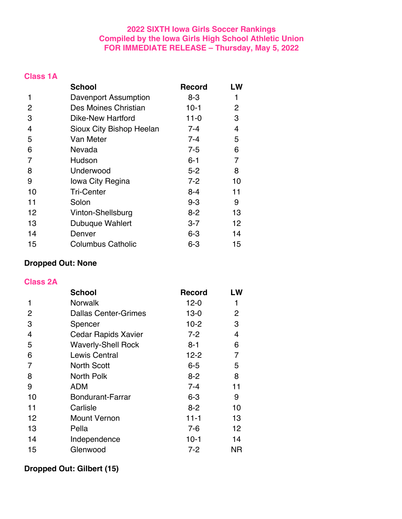## **2022 SIXTH Iowa Girls Soccer Rankings Compiled by the Iowa Girls High School Athletic Union FOR IMMEDIATE RELEASE – Thursday, May 5, 2022**

|--|--|--|--|

|    | <b>School</b>            | <b>Record</b> | LW           |
|----|--------------------------|---------------|--------------|
| 1  | Davenport Assumption     | 8-3           | 1            |
| 2  | Des Moines Christian     | $10-1$        | $\mathbf{2}$ |
| 3  | <b>Dike-New Hartford</b> | $11 - 0$      | 3            |
| 4  | Sioux City Bishop Heelan | 7-4           | 4            |
| 5  | Van Meter                | 7-4           | 5            |
| 6  | Nevada                   | $7 - 5$       | 6            |
| 7  | Hudson                   | $6 - 1$       | 7            |
| 8  | Underwood                | $5 - 2$       | 8            |
| 9  | Iowa City Regina         | $7 - 2$       | 10           |
| 10 | <b>Tri-Center</b>        | 8-4           | 11           |
| 11 | Solon                    | 9-3           | 9            |
| 12 | Vinton-Shellsburg        | $8 - 2$       | 13           |
| 13 | Dubuque Wahlert          | $3 - 7$       | 12           |
| 14 | Denver                   | $6 - 3$       | 14           |
| 15 | <b>Columbus Catholic</b> | $6 - 3$       | 15           |

## **Dropped Out: None**

#### **Class 2A**

| <b>School</b>               | <b>Record</b> | LW  |
|-----------------------------|---------------|-----|
| <b>Norwalk</b>              | $12 - 0$      | 1   |
| <b>Dallas Center-Grimes</b> | $13 - 0$      | 2   |
| Spencer                     | $10-2$        | 3   |
| <b>Cedar Rapids Xavier</b>  | $7 - 2$       | 4   |
| <b>Waverly-Shell Rock</b>   | $8 - 1$       | 6   |
| Lewis Central               | $12 - 2$      | 7   |
| <b>North Scott</b>          | $6 - 5$       | 5   |
| North Polk                  | $8 - 2$       | 8   |
| ADM                         | $7 - 4$       | 11  |
| <b>Bondurant-Farrar</b>     | $6 - 3$       | 9   |
| Carlisle                    | $8 - 2$       | 10  |
| <b>Mount Vernon</b>         | $11 - 1$      | 13  |
| Pella                       | 7-6           | 12  |
| Independence                | $10-1$        | 14  |
| Glenwood                    | $7 - 2$       | NR. |
|                             |               |     |

# **Dropped Out: Gilbert (15)**